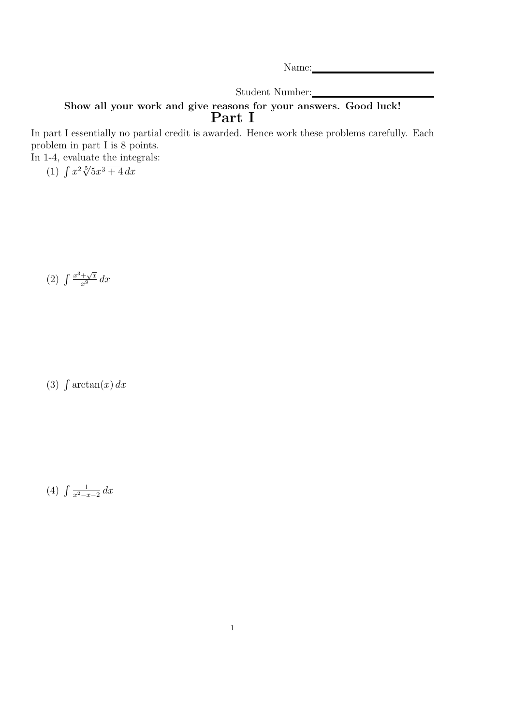Name:

Student Number:

## Show all your work and give reasons for your answers. Good luck! Part I

In part I essentially no partial credit is awarded. Hence work these problems carefully. Each problem in part I is 8 points.

In 1-4, evaluate the integrals: (1)  $\int x^2 \sqrt[3]{5x^3 + 4} dx$ 

$$
(2) \int \frac{x^3 + \sqrt{x}}{x^9} dx
$$

(3)  $\int \arctan(x) dx$ 

 $(4) \int \frac{1}{r^2-r^2}$  $rac{1}{x^2-x-2}$  dx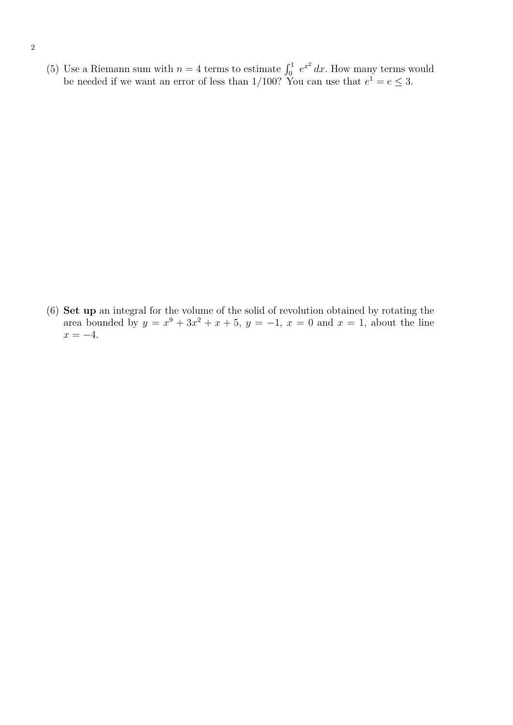(5) Use a Riemann sum with  $n = 4$  terms to estimate  $\int_0^1 e^{x^2} dx$ . How many terms would be needed if we want an error of less than  $1/100$ ? You can use that  $e^1 = e \leq 3$ .

(6) Set up an integral for the volume of the solid of revolution obtained by rotating the area bounded by  $y = x^9 + 3x^2 + x + 5$ ,  $y = -1$ ,  $x = 0$  and  $x = 1$ , about the line  $x = -4$ .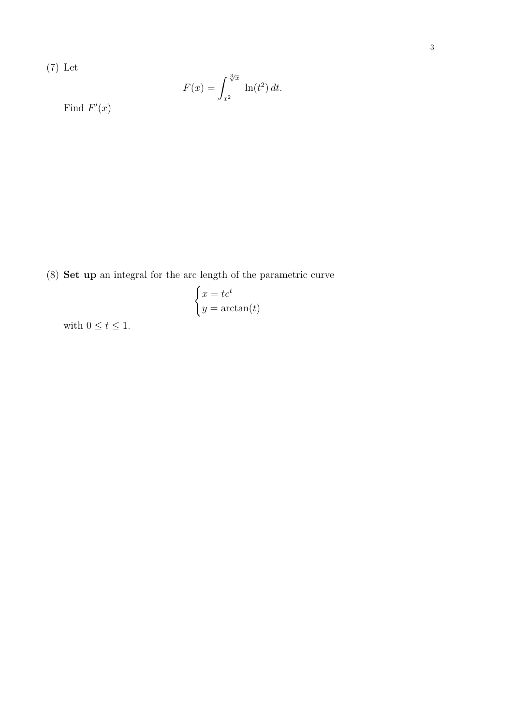3

(7) Let

$$
F(x) = \int_{x^2}^{\sqrt[3]{x}} \ln(t^2) dt.
$$

Find  $F'(x)$ 

(8) Set up an integral for the arc length of the parametric curve

$$
\begin{cases} x = te^t \\ y = \arctan(t) \end{cases}
$$

with  $0\leq t\leq 1.$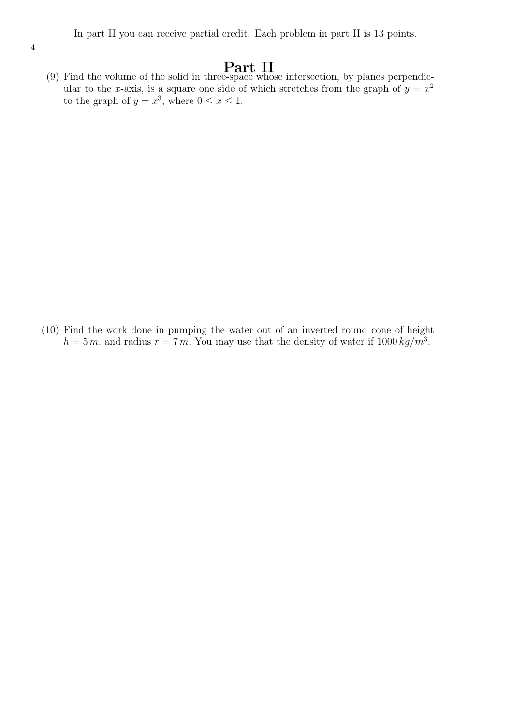(9) Find the volume of the solid in three-space whose intersection, by planes perpendicular to the x-axis, is a square one side of which stretches from the graph of  $y = x^2$ to the graph of  $y = x^3$ , where  $0 \le x \le 1$ .

(10) Find the work done in pumping the water out of an inverted round cone of height  $h = 5 m$ . and radius  $r = 7 m$ . You may use that the density of water if  $1000 kg/m<sup>3</sup>$ .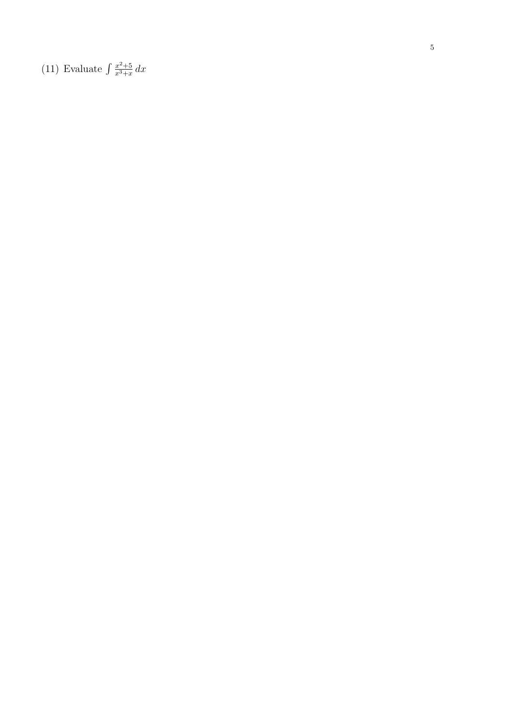(11) Evaluate  $\int \frac{x^2+5}{x^3+x} dx$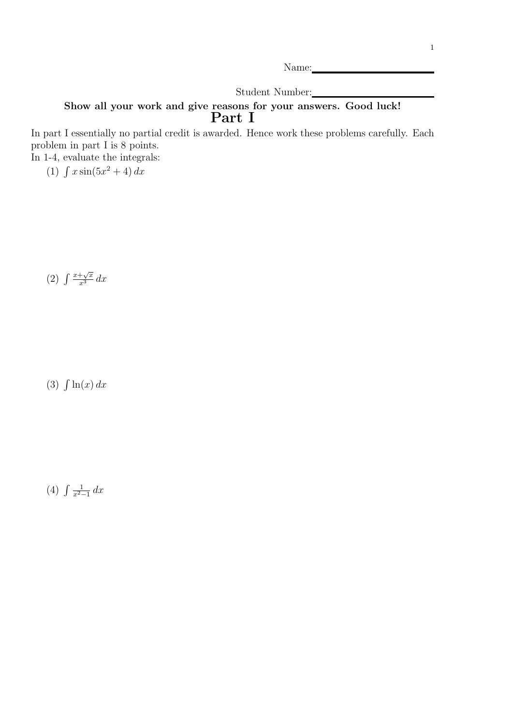Name:

Student Number:

## Show all your work and give reasons for your answers. Good luck! Part I

In part I essentially no partial credit is awarded. Hence work these problems carefully. Each problem in part I is 8 points. In 1-4, evaluate the integrals:

(1)  $\int x \sin(5x^2 + 4) dx$ 

(2)  $\int \frac{x+\sqrt{x}}{x^3} dx$ 

 $(3)$   $\int \ln(x) dx$ 

 $(4) \int \frac{1}{x^2-1}$  $rac{1}{x^2-1}$  dx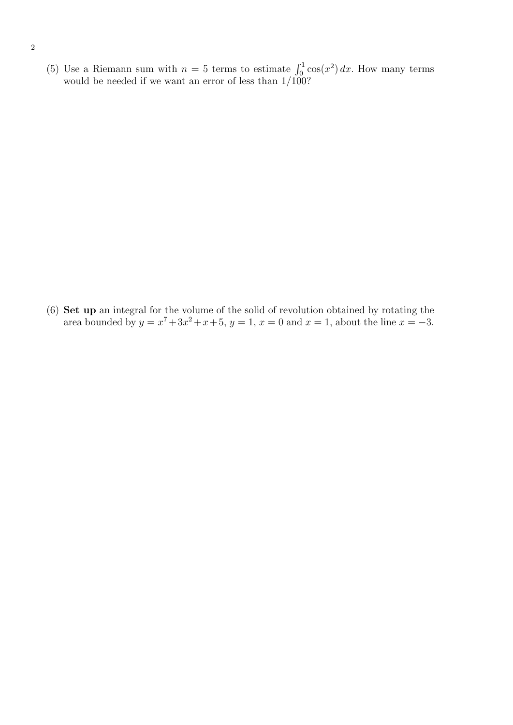(5) Use a Riemann sum with  $n = 5$  terms to estimate  $\int_0^1 \cos(x^2) dx$ . How many terms would be needed if we want an error of less than 1/100?

(6) Set up an integral for the volume of the solid of revolution obtained by rotating the area bounded by  $y = x^7 + 3x^2 + x + 5$ ,  $y = 1$ ,  $x = 0$  and  $x = 1$ , about the line  $x = -3$ .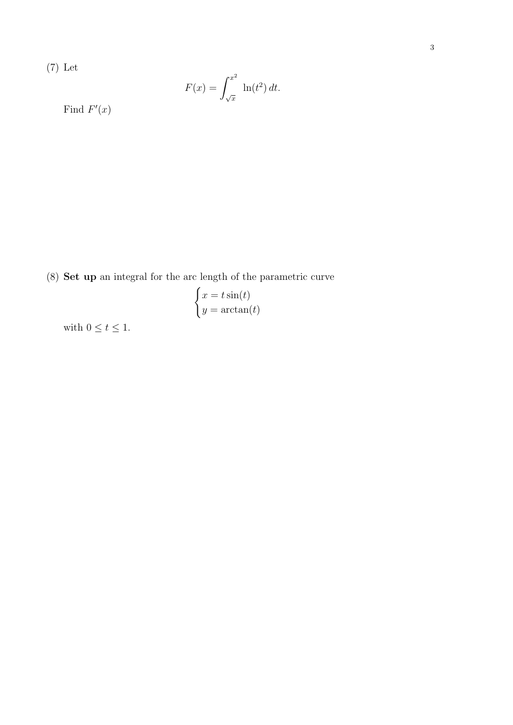$$
F(x) = \int_{\sqrt{x}}^{x^2} \ln(t^2) dt.
$$

Find  $F'(x)$ 

(8) Set up an integral for the arc length of the parametric curve

$$
\begin{cases} x = t \sin(t) \\ y = \arctan(t) \end{cases}
$$

with  $0 \le t \le 1$ .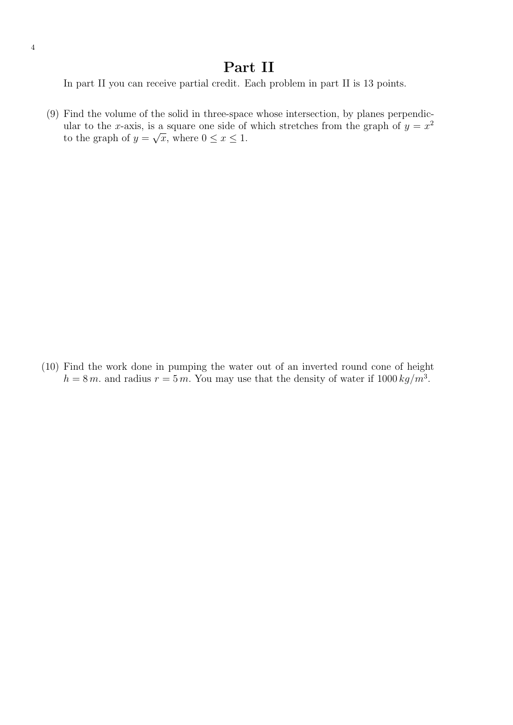## Part II

In part II you can receive partial credit. Each problem in part II is 13 points.

(9) Find the volume of the solid in three-space whose intersection, by planes perpendicular to the x-axis, is a square one side of which stretches from the graph of  $y = x^2$ to the graph of  $y = \sqrt{x}$ , where  $0 \le x \le 1$ .

(10) Find the work done in pumping the water out of an inverted round cone of height  $h = 8 m$ . and radius  $r = 5 m$ . You may use that the density of water if  $1000 kg/m<sup>3</sup>$ .